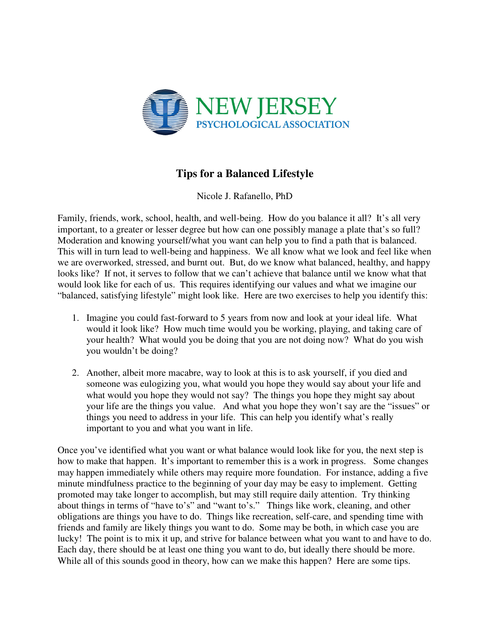

## **Tips for a Balanced Lifestyle**

Nicole J. Rafanello, PhD

Family, friends, work, school, health, and well-being. How do you balance it all? It's all very important, to a greater or lesser degree but how can one possibly manage a plate that's so full? Moderation and knowing yourself/what you want can help you to find a path that is balanced. This will in turn lead to well-being and happiness. We all know what we look and feel like when we are overworked, stressed, and burnt out. But, do we know what balanced, healthy, and happy looks like? If not, it serves to follow that we can't achieve that balance until we know what that would look like for each of us. This requires identifying our values and what we imagine our "balanced, satisfying lifestyle" might look like. Here are two exercises to help you identify this:

- 1. Imagine you could fast-forward to 5 years from now and look at your ideal life. What would it look like? How much time would you be working, playing, and taking care of your health? What would you be doing that you are not doing now? What do you wish you wouldn't be doing?
- 2. Another, albeit more macabre, way to look at this is to ask yourself, if you died and someone was eulogizing you, what would you hope they would say about your life and what would you hope they would not say? The things you hope they might say about your life are the things you value. And what you hope they won't say are the "issues" or things you need to address in your life. This can help you identify what's really important to you and what you want in life.

Once you've identified what you want or what balance would look like for you, the next step is how to make that happen. It's important to remember this is a work in progress. Some changes may happen immediately while others may require more foundation. For instance, adding a five minute mindfulness practice to the beginning of your day may be easy to implement. Getting promoted may take longer to accomplish, but may still require daily attention. Try thinking about things in terms of "have to's" and "want to's." Things like work, cleaning, and other obligations are things you have to do. Things like recreation, self-care, and spending time with friends and family are likely things you want to do. Some may be both, in which case you are lucky! The point is to mix it up, and strive for balance between what you want to and have to do. Each day, there should be at least one thing you want to do, but ideally there should be more. While all of this sounds good in theory, how can we make this happen? Here are some tips.